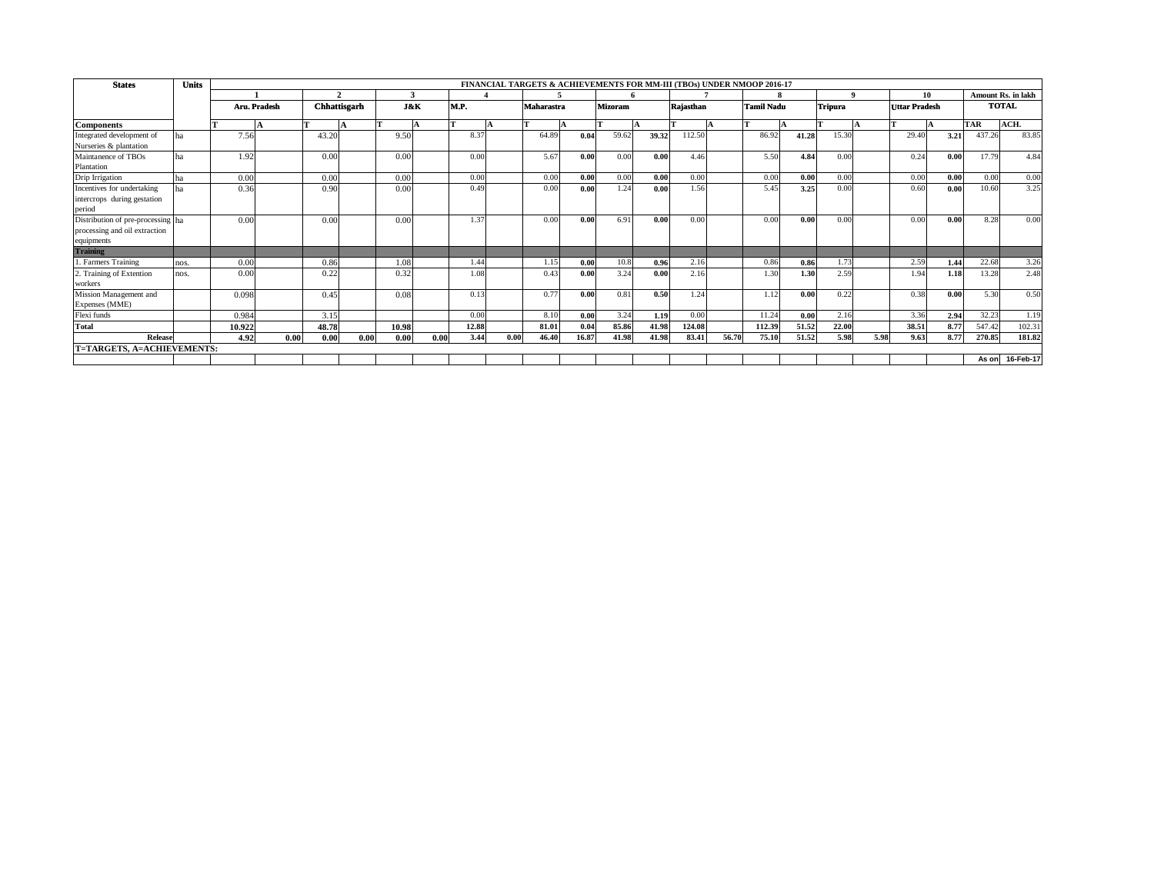| <b>States</b>                                                                    | <b>Units</b> |              |              |                     |      |                |      |       |      | FINANCIAL TARGETS & ACHIEVEMENTS FOR MM-III (TBOs) UNDER NMOOP 2016-17 |       |                |       |           |       |                   |       |                |      |                      |      |                           |           |
|----------------------------------------------------------------------------------|--------------|--------------|--------------|---------------------|------|----------------|------|-------|------|------------------------------------------------------------------------|-------|----------------|-------|-----------|-------|-------------------|-------|----------------|------|----------------------|------|---------------------------|-----------|
|                                                                                  |              | Aru. Pradesh |              |                     |      |                |      |       |      | 5                                                                      |       |                |       |           |       |                   |       |                |      |                      | 10   | <b>Amount Rs. in lakh</b> |           |
|                                                                                  |              |              |              | <b>Chhattisgarh</b> |      | <b>J&amp;K</b> |      | M.P.  |      | Maharastra                                                             |       | <b>Mizoram</b> |       | Rajasthan |       | <b>Tamil Nadu</b> |       | <b>Tripura</b> |      | <b>Uttar Pradesh</b> |      | <b>TOTAL</b>              |           |
| <b>Components</b>                                                                |              |              |              |                     |      |                |      |       |      |                                                                        |       |                | IA    |           |       |                   |       |                |      |                      |      | <b>TAR</b>                | ACH.      |
| Integrated development of<br>Nurseries & plantation                              |              |              | 7.56         | 43.20               |      | 9.50           |      | 8.37  |      | 64.89                                                                  | 0.04  | 59.62          | 39.32 | 112.50    |       | 86.92             | 41.28 | 15.30          |      | 29.40                | 3.21 | 437.26                    | 83.85     |
| Maintanence of TBOs<br>Plantation                                                |              |              | 1.92         | 0.00                |      | 0.00           |      | 0.00  |      | 5.67                                                                   | 0.00  | 0.00           | 0.00  | 4.46      |       | 5.50              | 4.84  | 0.00           |      | 0.24                 | 0.00 | 17.79                     | 4.84      |
| Drip Irrigation                                                                  |              | 0.00         |              | 0.00                |      | 0.00           |      | 0.00  |      | 0.00                                                                   | 0.00  | 0.00           | 0.00  | 0.00      |       | 0.00              | 0.00  | 0.00           |      | 0.00                 | 0.00 | 0.00                      | 0.00      |
| Incentives for undertaking<br>intercrops during gestation<br>period              |              |              | 0.36         | 0.90                |      | 0.00           |      | 0.49  |      | 0.00                                                                   | 0.00  | 1.24           | 0.00  | 1.56      |       | 5.45              | 3.25  | 0.00           |      | 0.60                 | 0.00 | 10.60                     | 3.25      |
| Distribution of pre-processing ha<br>processing and oil extraction<br>equipments |              | 0.00         |              | 0.00                |      | 0.00           |      | 1.37  |      | 0.00                                                                   | 0.00  | 6.91           | 0.00  | 0.00      |       | 0.00              | 0.00  | 0.00           |      | 0.00                 | 0.00 | 8.28                      | 0.00      |
| <b>Training</b>                                                                  |              |              |              |                     |      |                |      |       |      |                                                                        |       |                |       |           |       |                   |       |                |      |                      |      |                           |           |
| 1. Farmers Training                                                              | nos.         |              | 0.00         | 0.86                |      | 1.08           |      | 1.44  |      | 1.15                                                                   | 0.00  | 10.8           | 0.96  | 2.16      |       | 0.86              | 0.86  | 1.73           |      | 2.59                 | 1.44 | 22.68                     | 3.26      |
| 2. Training of Extention<br>workers                                              | nos.         | 0.00         |              | 0.22                |      | 0.32           |      | 1.08  |      | 0.43                                                                   | 0.00  | 3.24           | 0.00  | 2.16      |       | 1.30              | 1.30  | 2.59           |      | 1.94                 | 1.18 | 13.28                     | 2.48      |
| Mission Management and<br>Expenses (MME)                                         |              | 0.098        |              | 0.45                |      | 0.08           |      | 0.13  |      | 0.77                                                                   | 0.00  | 0.81           | 0.50  | 1.24      |       | 1.12              | 0.00  | 0.22           |      | 0.38                 | 0.00 | 5.30                      | 0.50      |
| Flexi funds                                                                      |              | 0.984        |              | 3.15                |      |                |      | 0.00  |      | 8.10                                                                   | 0.00  | 3.24           | 1.19  | 0.00      |       | 11.24             | 0.00  | 2.16           |      | 3.36                 | 2.94 | 32.23                     | 1.19      |
| Total                                                                            |              | 10.922       |              | 48.78               |      | 10.98          |      | 12.88 |      | 81.01                                                                  | 0.04  | 85.86          | 41.98 | 124.08    |       | 112.39            | 51.52 | 22.00          |      | 38.51                | 8.77 | 547.42                    | 102.31    |
| Release                                                                          |              |              | 0.00<br>4.92 | 0.00                | 0.00 | 0.00           | 0.00 | 3.44  | 0.00 | 46.40                                                                  | 16.87 | 41.98          | 41.98 | 83.41     | 56.70 | 75.10             | 51.52 | 5.98           | 5.98 | 9.63                 | 8.77 | 270.85                    | 181.82    |
| T=TARGETS, A=ACHIEVEMENTS:                                                       |              |              |              |                     |      |                |      |       |      |                                                                        |       |                |       |           |       |                   |       |                |      |                      |      |                           |           |
|                                                                                  |              |              |              |                     |      |                |      |       |      |                                                                        |       |                |       |           |       |                   |       |                |      |                      |      | As on                     | 16-Feb-17 |